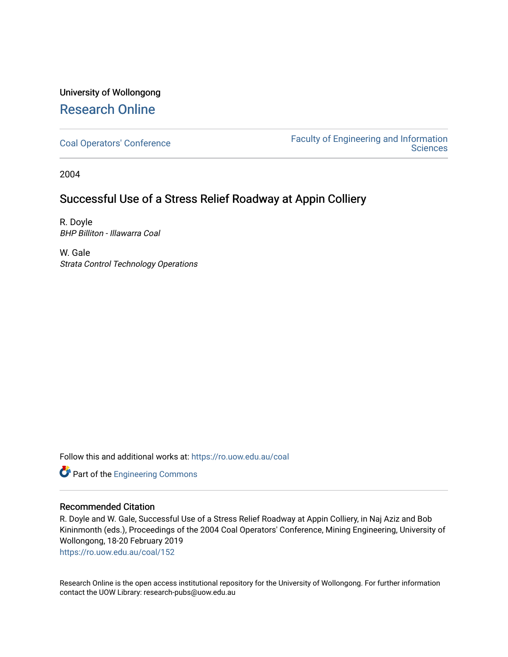# University of Wollongong [Research Online](https://ro.uow.edu.au/)

[Coal Operators' Conference](https://ro.uow.edu.au/coal) [Faculty of Engineering and Information](https://ro.uow.edu.au/eis)  **Sciences** 

2004

## Successful Use of a Stress Relief Roadway at Appin Colliery

R. Doyle BHP Billiton - Illawarra Coal

W. Gale Strata Control Technology Operations

Follow this and additional works at: [https://ro.uow.edu.au/coal](https://ro.uow.edu.au/coal?utm_source=ro.uow.edu.au%2Fcoal%2F152&utm_medium=PDF&utm_campaign=PDFCoverPages) 

Part of the [Engineering Commons](http://network.bepress.com/hgg/discipline/217?utm_source=ro.uow.edu.au%2Fcoal%2F152&utm_medium=PDF&utm_campaign=PDFCoverPages)

## Recommended Citation

R. Doyle and W. Gale, Successful Use of a Stress Relief Roadway at Appin Colliery, in Naj Aziz and Bob Kininmonth (eds.), Proceedings of the 2004 Coal Operators' Conference, Mining Engineering, University of Wollongong, 18-20 February 2019

[https://ro.uow.edu.au/coal/152](https://ro.uow.edu.au/coal/152?utm_source=ro.uow.edu.au%2Fcoal%2F152&utm_medium=PDF&utm_campaign=PDFCoverPages) 

Research Online is the open access institutional repository for the University of Wollongong. For further information contact the UOW Library: research-pubs@uow.edu.au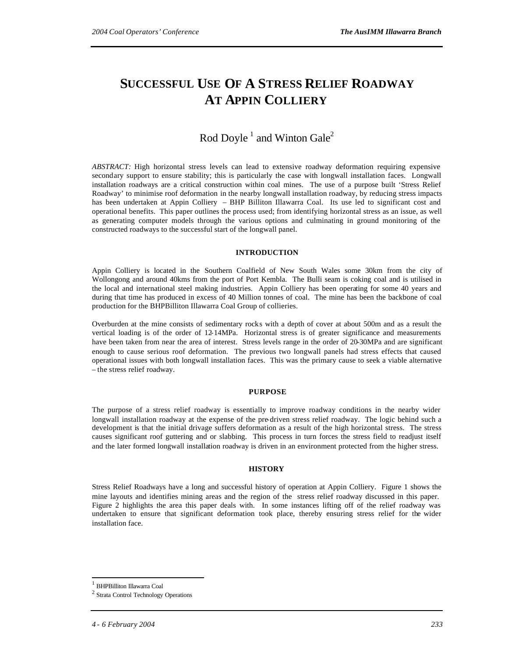# **SUCCESSFUL USE OF A STRESS RELIEF ROADWAY AT APPIN COLLIERY**

## Rod Doyle<sup>1</sup> and Winton Gale<sup>2</sup>

*ABSTRACT:* High horizontal stress levels can lead to extensive roadway deformation requiring expensive secondary support to ensure stability; this is particularly the case with longwall installation faces. Longwall installation roadways are a critical construction within coal mines. The use of a purpose built 'Stress Relief Roadway' to minimise roof deformation in the nearby longwall installation roadway, by reducing stress impacts has been undertaken at Appin Colliery – BHP Billiton Illawarra Coal. Its use led to significant cost and operational benefits. This paper outlines the process used; from identifying horizontal stress as an issue, as well as generating computer models through the various options and culminating in ground monitoring of the constructed roadways to the successful start of the longwall panel.

#### **INTRODUCTION**

Appin Colliery is located in the Southern Coalfield of New South Wales some 30km from the city of Wollongong and around 40kms from the port of Port Kembla. The Bulli seam is coking coal and is utilised in the local and international steel making industries. Appin Colliery has been operating for some 40 years and during that time has produced in excess of 40 Million tonnes of coal. The mine has been the backbone of coal production for the BHPBilliton Illawarra Coal Group of collieries.

Overburden at the mine consists of sedimentary rocks with a depth of cover at about 500m and as a result the vertical loading is of the order of 12-14MPa. Horizontal stress is of greater significance and measurements have been taken from near the area of interest. Stress levels range in the order of 20-30MPa and are significant enough to cause serious roof deformation. The previous two longwall panels had stress effects that caused operational issues with both longwall installation faces. This was the primary cause to seek a viable alternative – the stress relief roadway.

#### **PURPOSE**

The purpose of a stress relief roadway is essentially to improve roadway conditions in the nearby wider longwall installation roadway at the expense of the pre-driven stress relief roadway. The logic behind such a development is that the initial drivage suffers deformation as a result of the high horizontal stress. The stress causes significant roof guttering and or slabbing. This process in turn forces the stress field to readjust itself and the later formed longwall installation roadway is driven in an environment protected from the higher stress.

#### **HISTORY**

Stress Relief Roadways have a long and successful history of operation at Appin Colliery. Figure 1 shows the mine layouts and identifies mining areas and the region of the stress relief roadway discussed in this paper. Figure 2 highlights the area this paper deals with. In some instances lifting off of the relief roadway was undertaken to ensure that significant deformation took place, thereby ensuring stress relief for the wider installation face.

 $\overline{a}$ 

<sup>1</sup> BHPBilliton Illawarra Coal

<sup>2</sup> Strata Control Technology Operations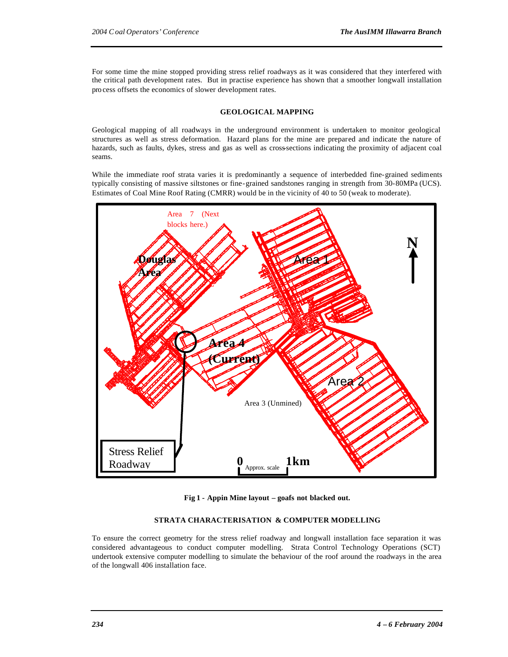For some time the mine stopped providing stress relief roadways as it was considered that they interfered with the critical path development rates. But in practise experience has shown that a smoother longwall installation pro cess offsets the economics of slower development rates.

#### **GEOLOGICAL MAPPING**

Geological mapping of all roadways in the underground environment is undertaken to monitor geological structures as well as stress deformation. Hazard plans for the mine are prepared and indicate the nature of hazards, such as faults, dykes, stress and gas as well as cross-sections indicating the proximity of adjacent coal seams.

While the immediate roof strata varies it is predominantly a sequence of interbedded fine-grained sediments typically consisting of massive siltstones or fine-grained sandstones ranging in strength from 30-80MPa (UCS). Estimates of Coal Mine Roof Rating (CMRR) would be in the vicinity of 40 to 50 (weak to moderate).



**Fig 1 - Appin Mine layout – goafs not blacked out.**

### **STRATA CHARACTERISATION & COMPUTER MODELLING**

To ensure the correct geometry for the stress relief roadway and longwall installation face separation it was considered advantageous to conduct computer modelling. Strata Control Technology Operations (SCT) undertook extensive computer modelling to simulate the behaviour of the roof around the roadways in the area of the longwall 406 installation face.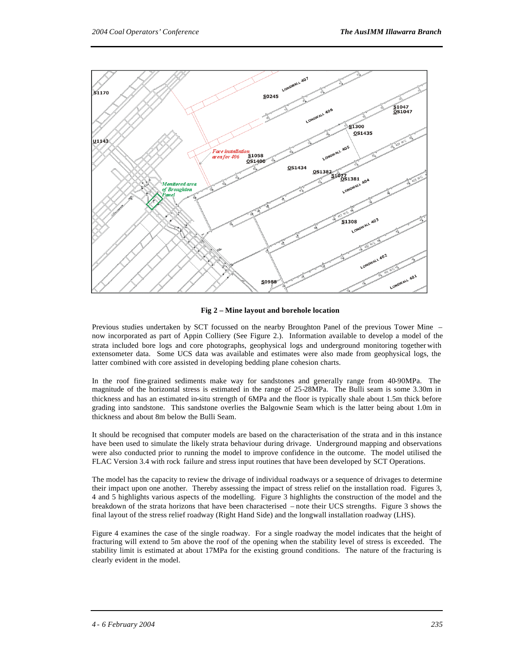

**Fig 2 – Mine layout and borehole location**

Previous studies undertaken by SCT focussed on the nearby Broughton Panel of the previous Tower Mine – now incorporated as part of Appin Colliery (See Figure 2.). Information available to develop a model of the strata included bore logs and core photographs, geophysical logs and underground monitoring together with extensometer data. Some UCS data was available and estimates were also made from geophysical logs, the latter combined with core assisted in developing bedding plane cohesion charts.

In the roof fine-grained sediments make way for sandstones and generally range from 40-90MPa. The magnitude of the horizontal stress is estimated in the range of 25-28MPa. The Bulli seam is some 3.30m in thickness and has an estimated in-situ strength of 6MPa and the floor is typically shale about 1.5m thick before grading into sandstone. This sandstone overlies the Balgownie Seam which is the latter being about 1.0m in thickness and about 8m below the Bulli Seam.

It should be recognised that computer models are based on the characterisation of the strata and in this instance have been used to simulate the likely strata behaviour during drivage. Underground mapping and observations were also conducted prior to running the model to improve confidence in the outcome. The model utilised the FLAC Version 3.4 with rock failure and stress input routines that have been developed by SCT Operations.

The model has the capacity to review the drivage of individual roadways or a sequence of drivages to determine their impact upon one another. Thereby assessing the impact of stress relief on the installation road. Figures 3, 4 and 5 highlights various aspects of the modelling. Figure 3 highlights the construction of the model and the breakdown of the strata horizons that have been characterised – note their UCS strengths. Figure 3 shows the final layout of the stress relief roadway (Right Hand Side) and the longwall installation roadway (LHS).

Figure 4 examines the case of the single roadway. For a single roadway the model indicates that the height of fracturing will extend to 5m above the roof of the opening when the stability level of stress is exceeded. The stability limit is estimated at about 17MPa for the existing ground conditions. The nature of the fracturing is clearly evident in the model.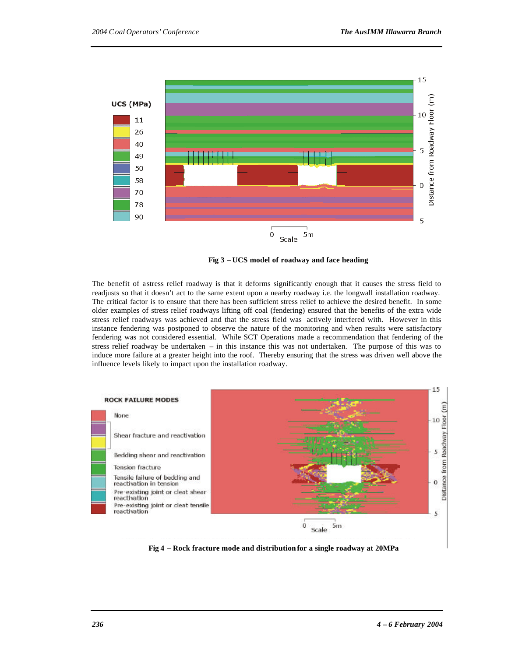

**Fig 3 – UCS model of roadway and face heading**

The benefit of a stress relief roadway is that it deforms significantly enough that it causes the stress field to readjusts so that it doesn't act to the same extent upon a nearby roadway i.e. the longwall installation roadway. The critical factor is to ensure that there has been sufficient stress relief to achieve the desired benefit. In some older examples of stress relief roadways lifting off coal (fendering) ensured that the benefits of the extra wide stress relief roadways was achieved and that the stress field was actively interfered with. However in this instance fendering was postponed to observe the nature of the monitoring and when results were satisfactory fendering was not considered essential. While SCT Operations made a recommendation that fendering of the stress relief roadway be undertaken – in this instance this was not undertaken. The purpose of this was to induce more failure at a greater height into the roof. Thereby ensuring that the stress was driven well above the influence levels likely to impact upon the installation roadway.



**Fig 4 – Rock fracture mode and distribution for a single roadway at 20MPa**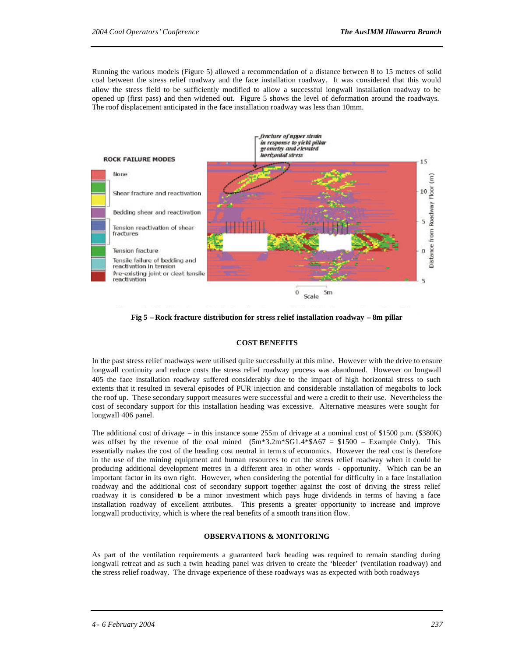Running the various models (Figure 5) allowed a recommendation of a distance between 8 to 15 metres of solid coal between the stress relief roadway and the face installation roadway. It was considered that this would allow the stress field to be sufficiently modified to allow a successful longwall installation roadway to be opened up (first pass) and then widened out. Figure 5 shows the level of deformation around the roadways. The roof displacement anticipated in the face installation roadway was less than 10mm.



**Fig 5 – Rock fracture distribution for stress relief installation roadway – 8m pillar**

#### **COST BENEFITS**

In the past stress relief roadways were utilised quite successfully at this mine. However with the drive to ensure longwall continuity and reduce costs the stress relief roadway process was abandoned. However on longwall 405 the face installation roadway suffered considerably due to the impact of high horizontal stress to such extents that it resulted in several episodes of PUR injection and considerable installation of megabolts to lock the roof up. These secondary support measures were successful and were a credit to their use. Nevertheless the cost of secondary support for this installation heading was excessive. Alternative measures were sought for longwall 406 panel.

The additional cost of drivage – in this instance some 255m of drivage at a nominal cost of \$1500 p.m. (\$380K) was offset by the revenue of the coal mined  $(5m*3.2m*SG1.4*\$A67 = \$1500 - \text{Example Only})$ . This essentially makes the cost of the heading cost neutral in term s of economics. However the real cost is therefore in the use of the mining equipment and human resources to cut the stress relief roadway when it could be producing additional development metres in a different area in other words - opportunity. Which can be an important factor in its own right. However, when considering the potential for difficulty in a face installation roadway and the additional cost of secondary support together against the cost of driving the stress relief roadway it is considered to be a minor investment which pays huge dividends in terms of having a face installation roadway of excellent attributes. This presents a greater opportunity to increase and improve longwall productivity, which is where the real benefits of a smooth transition flow.

#### **OBSERVATIONS & MONITORING**

As part of the ventilation requirements a guaranteed back heading was required to remain standing during longwall retreat and as such a twin heading panel was driven to create the 'bleeder' (ventilation roadway) and the stress relief roadway. The drivage experience of these roadways was as expected with both roadways